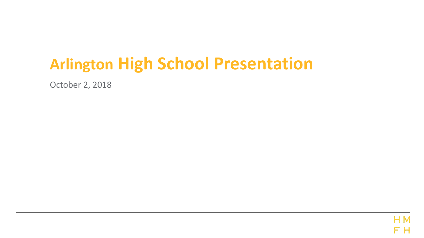# **Arlington High School Presentation**

October 2, 2018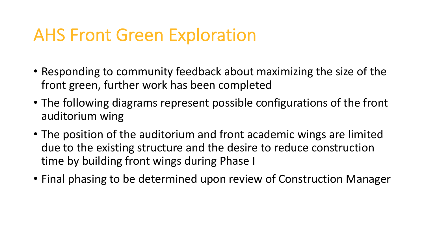# AHS Front Green Exploration

- • Responding to community feedback about maximizing the size of the front green, further work has been completed
- • The following diagrams represent possible configurations of the front auditorium wing
- • The position of the auditorium and front academic wings are limited due to the existing structure and the desire to reduce construction time by building front wings during Phase I
- Final phasing to be determined upon review of Construction Manager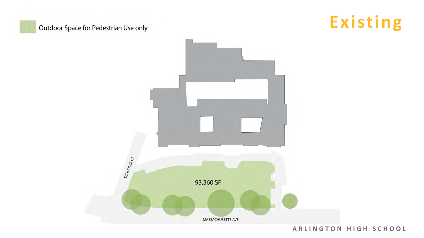# **Outdoor Space for Pedestrian Use only**





 **A R L I N G T O N H I G H S C H O O L**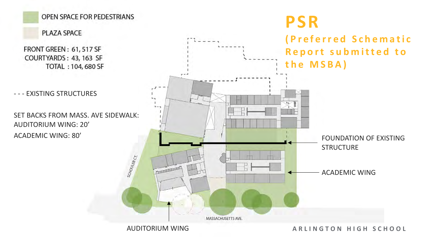PLAZA SPACE

FRONT GREEN: 61, 517 SF COURTYARDS : 43, 163 SF TOTAL : 104, 680 SF

- - - EXISTING STRUCTURES

 SET BACKS FROM MASS. AVE SIDEWALK: AUDITORIUM WING: 20' **ACADEMIC WING: 80'** 

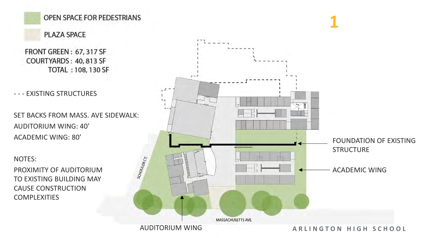# PLAZA SPACE

FRONT GREEN : 67, 317 SF COURTYARDS: 40,813 SF TOTAL : 108, 1 30 SF

- - - EXISTING STRUCTURES

 SET BACKS FROM MASS. AVE SIDEWALK: AUDITORIUM WING: 40' **ACADEMIC WING: 80'** 

 TO EXISTING BUILDING MAY NOTES: CAUSE CONSTRUCTION COMPLEXITIES

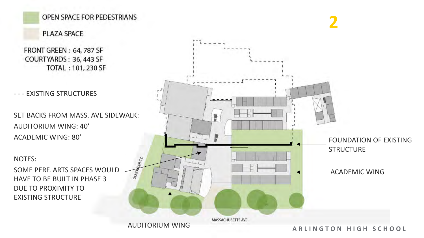#### PLAZA SPACE

FRONT GREEN: 64, 787 SF COURTYARDS : 36, 443 SF TOTAL : 101, 230 SF <sup>I</sup>

- - - EXISTING STRUCTURES

 SET BACKS FROM MASS. AVE SIDEWALK: AUDITORIUM WING: 40' **ACADEMIC WING: 80'** 

 HAVE TO BE BUILT IN PHASE 3 DUE TO PROXIMITY TO NOTES: EXISTING STRUCTURE

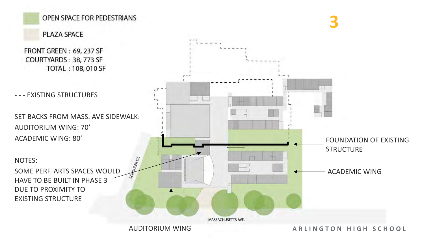PLAZA SPACE

FRONT GREEN : 69, 237 SF COURTYARDS: 38, 773 SF TOTAL: 108, 010 SF

- - - EXISTING STRUCTURES

 SET BACKS FROM MASS. AVE SIDEWALK: **ACADEMIC WING: 80'** AUDITORIUM WING: 70'

 HAVE TO BE BUILT IN PHASE 3 DUE TO PROXIMITY TO NOTES: EXISTING STRUCTURE

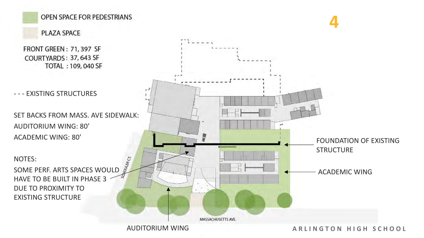# PLAZA SPACE

FRONT GREEN : 71, 397 SF COURTYARDS: 37, 643 SF TOTAL : 109, 040 SF

- - - EXISTING STRUCTURES

 SET BACKS FROM MASS. AVE SIDEWALK: AUDITORIUM WING: 80' **ACADEMIC WING: 80'** 

 DUE TO PROXIMITY TO NOTES: HAVE TO BE BUILT IN PHASE 3 EXISTING STRUCTURE